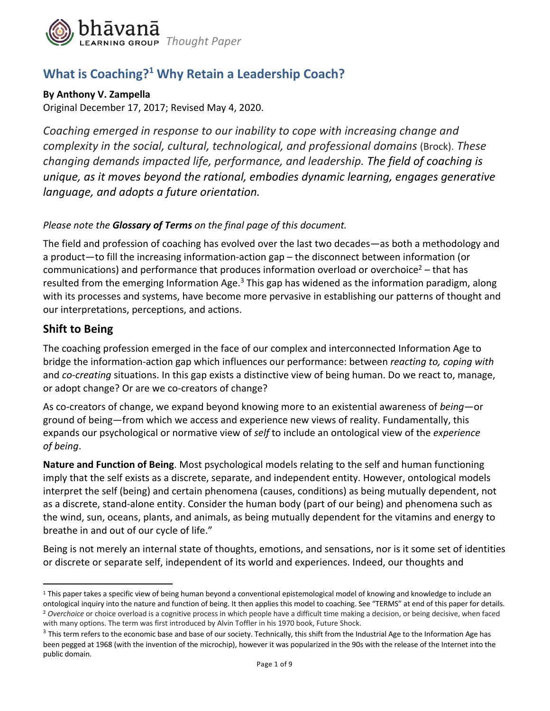

## **What is Coaching?1 Why Retain a Leadership Coach?**

#### **By Anthony V. Zampella**

Original December 17, 2017; Revised May 4, 2020.

*Coaching emerged in response to our inability to cope with increasing change and complexity in the social, cultural, technological, and professional domains* (Brock). *These changing demands impacted life, performance, and leadership. The field of coaching is unique, as it moves beyond the rational, embodies dynamic learning, engages generative language, and adopts a future orientation.*

### *Please note the Glossary of Terms on the final page of this document.*

The field and profession of coaching has evolved over the last two decades—as both a methodology and a product—to fill the increasing information-action gap – the disconnect between information (or communications) and performance that produces information overload or overchoice<sup>2</sup> – that has resulted from the emerging Information Age. $3$  This gap has widened as the information paradigm, along with its processes and systems, have become more pervasive in establishing our patterns of thought and our interpretations, perceptions, and actions.

### **Shift to Being**

The coaching profession emerged in the face of our complex and interconnected Information Age to bridge the information-action gap which influences our performance: between *reacting to, coping with*  and *co-creating* situations. In this gap exists a distinctive view of being human. Do we react to, manage, or adopt change? Or are we co-creators of change?

As co-creators of change, we expand beyond knowing more to an existential awareness of *being*—or ground of being—from which we access and experience new views of reality. Fundamentally, this expands our psychological or normative view of *self* to include an ontological view of the *experience of being*.

**Nature and Function of Being**. Most psychological models relating to the self and human functioning imply that the self exists as a discrete, separate, and independent entity. However, ontological models interpret the self (being) and certain phenomena (causes, conditions) as being mutually dependent, not as a discrete, stand-alone entity. Consider the human body (part of our being) and phenomena such as the wind, sun, oceans, plants, and animals, as being mutually dependent for the vitamins and energy to breathe in and out of our cycle of life."

Being is not merely an internal state of thoughts, emotions, and sensations, nor is it some set of identities or discrete or separate self, independent of its world and experiences. Indeed, our thoughts and

<sup>&</sup>lt;sup>1</sup> This paper takes a specific view of being human beyond a conventional epistemological model of knowing and knowledge to include an ontological inquiry into the nature and function of being. It then applies this model to coaching. See "TERMS" at end of this paper for details.<br><sup>2</sup> Overchoice or choice overload is a cognitive process in which people have with many options. The term was first introduced by Alvin Toffler in his 1970 book, Future Shock.

<sup>&</sup>lt;sup>3</sup> This term refers to the economic base and base of our society. Technically, this shift from the Industrial Age to the Information Age has been pegged at 1968 (with the invention of the microchip), however it was popularized in the 90s with the release of the Internet into the public domain.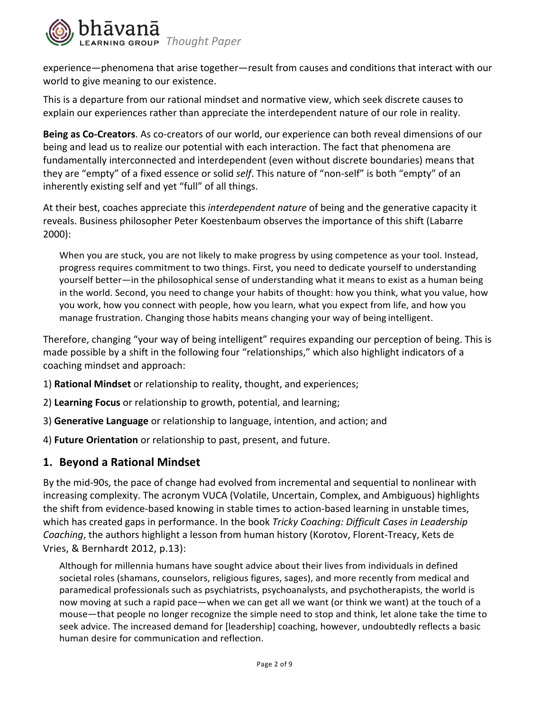

experience—phenomena that arise together—result from causes and conditions that interact with our world to give meaning to our existence.

This is a departure from our rational mindset and normative view, which seek discrete causes to explain our experiences rather than appreciate the interdependent nature of our role in reality.

**Being as Co-Creators**. As co-creators of our world, our experience can both reveal dimensions of our being and lead us to realize our potential with each interaction. The fact that phenomena are fundamentally interconnected and interdependent (even without discrete boundaries) means that they are "empty" of a fixed essence or solid *self*. This nature of "non-self" is both "empty" of an inherently existing self and yet "full" of all things.

At their best, coaches appreciate this *interdependent nature* of being and the generative capacity it reveals. Business philosopher Peter Koestenbaum observes the importance of this shift (Labarre 2000):

When you are stuck, you are not likely to make progress by using competence as your tool. Instead, progress requires commitment to two things. First, you need to dedicate yourself to understanding yourself better—in the philosophical sense of understanding what it means to exist as a human being in the world. Second, you need to change your habits of thought: how you think, what you value, how you work, how you connect with people, how you learn, what you expect from life, and how you manage frustration. Changing those habits means changing your way of being intelligent.

Therefore, changing "your way of being intelligent" requires expanding our perception of being. This is made possible by a shift in the following four "relationships," which also highlight indicators of a coaching mindset and approach:

- 1) **Rational Mindset** or relationship to reality, thought, and experiences;
- 2) **Learning Focus** or relationship to growth, potential, and learning;
- 3) **Generative Language** or relationship to language, intention, and action; and
- 4) **Future Orientation** or relationship to past, present, and future.

#### **1. Beyond a Rational Mindset**

By the mid-90s, the pace of change had evolved from incremental and sequential to nonlinear with increasing complexity. The acronym VUCA (Volatile, Uncertain, Complex, and Ambiguous) highlights the shift from evidence-based knowing in stable times to action-based learning in unstable times, which has created gaps in performance. In the book *Tricky Coaching: Difficult Cases in Leadership Coaching*, the authors highlight a lesson from human history (Korotov, Florent-Treacy, Kets de Vries, & Bernhardt 2012, p.13):

Although for millennia humans have sought advice about their lives from individuals in defined societal roles (shamans, counselors, religious figures, sages), and more recently from medical and paramedical professionals such as psychiatrists, psychoanalysts, and psychotherapists, the world is now moving at such a rapid pace—when we can get all we want (or think we want) at the touch of a mouse—that people no longer recognize the simple need to stop and think, let alone take the time to seek advice. The increased demand for [leadership] coaching, however, undoubtedly reflects a basic human desire for communication and reflection.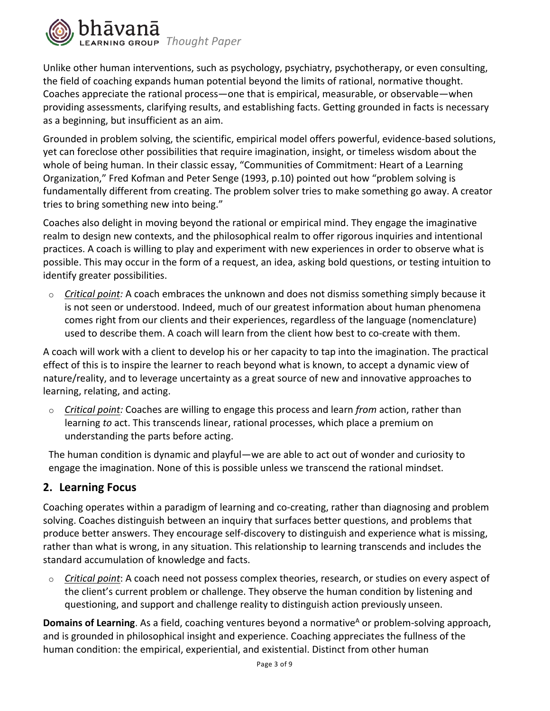

Unlike other human interventions, such as psychology, psychiatry, psychotherapy, or even consulting, the field of coaching expands human potential beyond the limits of rational, normative thought. Coaches appreciate the rational process—one that is empirical, measurable, or observable—when providing assessments, clarifying results, and establishing facts. Getting grounded in facts is necessary as a beginning, but insufficient as an aim.

Grounded in problem solving, the scientific, empirical model offers powerful, evidence-based solutions, yet can foreclose other possibilities that require imagination, insight, or timeless wisdom about the whole of being human. In their classic essay, "Communities of Commitment: Heart of a Learning Organization," Fred Kofman and Peter Senge (1993, p.10) pointed out how "problem solving is fundamentally different from creating. The problem solver tries to make something go away. A creator tries to bring something new into being."

Coaches also delight in moving beyond the rational or empirical mind. They engage the imaginative realm to design new contexts, and the philosophical realm to offer rigorous inquiries and intentional practices. A coach is willing to play and experiment with new experiences in order to observe what is possible. This may occur in the form of a request, an idea, asking bold questions, or testing intuition to identify greater possibilities.

o *Critical point:* A coach embraces the unknown and does not dismiss something simply because it is not seen or understood. Indeed, much of our greatest information about human phenomena comes right from our clients and their experiences, regardless of the language (nomenclature) used to describe them. A coach will learn from the client how best to co-create with them.

A coach will work with a client to develop his or her capacity to tap into the imagination. The practical effect of this is to inspire the learner to reach beyond what is known, to accept a dynamic view of nature/reality, and to leverage uncertainty as a great source of new and innovative approaches to learning, relating, and acting.

o *Critical point:* Coaches are willing to engage this process and learn *from* action, rather than learning *to* act. This transcends linear, rational processes, which place a premium on understanding the parts before acting.

The human condition is dynamic and playful—we are able to act out of wonder and curiosity to engage the imagination. None of this is possible unless we transcend the rational mindset.

## **2. Learning Focus**

Coaching operates within a paradigm of learning and co-creating, rather than diagnosing and problem solving. Coaches distinguish between an inquiry that surfaces better questions, and problems that produce better answers. They encourage self-discovery to distinguish and experience what is missing, rather than what is wrong, in any situation. This relationship to learning transcends and includes the standard accumulation of knowledge and facts.

o *Critical point*: A coach need not possess complex theories, research, or studies on every aspect of the client's current problem or challenge. They observe the human condition by listening and questioning, and support and challenge reality to distinguish action previously unseen.

**Domains of Learning**. As a field, coaching ventures beyond a normative<sup>A</sup> or problem-solving approach, and is grounded in philosophical insight and experience. Coaching appreciates the fullness of the human condition: the empirical, experiential, and existential. Distinct from other human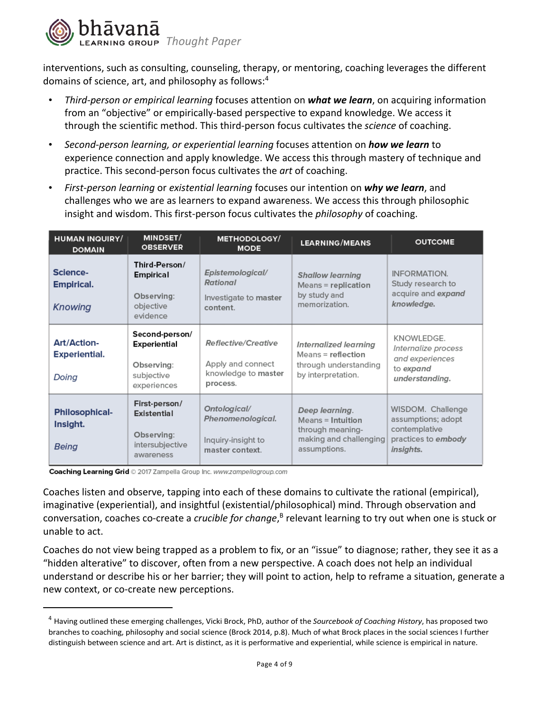

interventions, such as consulting, counseling, therapy, or mentoring, coaching leverages the different domains of science, art, and philosophy as follows:4

- *Third-person or empirical learning* focuses attention on *what we learn*, on acquiring information from an "objective" or empirically-based perspective to expand knowledge. We access it through the scientific method. This third-person focus cultivates the *science* of coaching.
- *Second-person learning, or experiential learning* focuses attention on *how we learn* to experience connection and apply knowledge. We access this through mastery of technique and practice. This second-person focus cultivates the *art* of coaching.
- *First-person learning* or *existential learning* focuses our intention on *why we learn*, and challenges who we are as learners to expand awareness. We access this through philosophic insight and wisdom. This first-person focus cultivates the *philosophy* of coaching.

| <b>HUMAN INQUIRY/</b><br><b>DOMAIN</b>       | MINDSET/<br><b>OBSERVER</b>                                                      | <b>METHODOLOGY/</b><br><b>MODE</b>                                                 | <b>LEARNING/MEANS</b>                                                                             | <b>OUTCOME</b>                                                                               |
|----------------------------------------------|----------------------------------------------------------------------------------|------------------------------------------------------------------------------------|---------------------------------------------------------------------------------------------------|----------------------------------------------------------------------------------------------|
| Science-<br>Empirical.<br><b>Knowing</b>     | Third-Person/<br><b>Empirical</b><br>Observing:<br>objective<br>evidence         | Epistemological/<br>Rational<br>Investigate to master<br>content.                  | <b>Shallow learning</b><br>Means = replication<br>by study and<br>memorization.                   | <b>INFORMATION.</b><br>Study research to<br>acquire and expand<br>knowledge.                 |
| Art/Action-<br><b>Experiential.</b><br>Doing | Second-person/<br><b>Experiential</b><br>Observing:<br>subjective<br>experiences | <b>Reflective/Creative</b><br>Apply and connect<br>knowledge to master<br>process. | Internalized learning<br>Means = reflection<br>through understanding<br>by interpretation.        | KNOWLEDGE.<br>Internalize process<br>and experiences<br>to expand<br>understanding.          |
| <b>Philosophical-</b><br>Insight.<br>Being   | First-person/<br>Existential<br>Observing:<br>intersubjective<br>awareness       | Ontological/<br>Phenomenological.<br>Inquiry-insight to<br>master context.         | Deep learning.<br>Means = Intuition<br>through meaning-<br>making and challenging<br>assumptions. | WISDOM. Challenge<br>assumptions; adopt<br>contemplative<br>practices to embody<br>insights. |

Coaching Learning Grid © 2017 Zampella Group Inc. www.zampellagroup.com

Coaches listen and observe, tapping into each of these domains to cultivate the rational (empirical), imaginative (experiential), and insightful (existential/philosophical) mind. Through observation and conversation, coaches co-create a *crucible for change*,<sup>B</sup> relevant learning to try out when one is stuck or unable to act.

Coaches do not view being trapped as a problem to fix, or an "issue" to diagnose; rather, they see it as a "hidden alterative" to discover, often from a new perspective. A coach does not help an individual understand or describe his or her barrier; they will point to action, help to reframe a situation, generate a new context, or co-create new perceptions.

<sup>4</sup> Having outlined these emerging challenges, Vicki Brock, PhD, author of the *Sourcebook of Coaching History*, has proposed two branches to coaching, philosophy and social science (Brock 2014, p.8). Much of what Brock places in the social sciences I further distinguish between science and art. Art is distinct, as it is performative and experiential, while science is empirical in nature.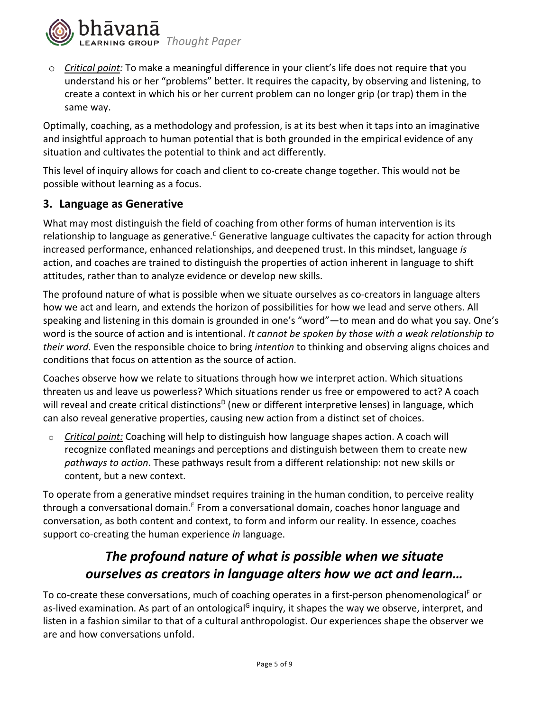

o *Critical point:* To make a meaningful difference in your client's life does not require that you understand his or her "problems" better. It requires the capacity, by observing and listening, to create a context in which his or her current problem can no longer grip (or trap) them in the same way.

Optimally, coaching, as a methodology and profession, is at its best when it taps into an imaginative and insightful approach to human potential that is both grounded in the empirical evidence of any situation and cultivates the potential to think and act differently.

This level of inquiry allows for coach and client to co-create change together. This would not be possible without learning as a focus.

### **3. Language as Generative**

What may most distinguish the field of coaching from other forms of human intervention is its relationship to language as generative.<sup> $c$ </sup> Generative language cultivates the capacity for action through increased performance, enhanced relationships, and deepened trust. In this mindset, language *is*  action, and coaches are trained to distinguish the properties of action inherent in language to shift attitudes, rather than to analyze evidence or develop new skills.

The profound nature of what is possible when we situate ourselves as co-creators in language alters how we act and learn, and extends the horizon of possibilities for how we lead and serve others. All speaking and listening in this domain is grounded in one's "word"—to mean and do what you say. One's word is the source of action and is intentional. *It cannot be spoken by those with a weak relationship to their word.* Even the responsible choice to bring *intention* to thinking and observing aligns choices and conditions that focus on attention as the source of action.

Coaches observe how we relate to situations through how we interpret action. Which situations threaten us and leave us powerless? Which situations render us free or empowered to act? A coach will reveal and create critical distinctions<sup>D</sup> (new or different interpretive lenses) in language, which can also reveal generative properties, causing new action from a distinct set of choices.

o *Critical point:* Coaching will help to distinguish how language shapes action. A coach will recognize conflated meanings and perceptions and distinguish between them to create new *pathways to action*. These pathways result from a different relationship: not new skills or content, but a new context.

To operate from a generative mindset requires training in the human condition, to perceive reality through a conversational domain.<sup>E</sup> From a conversational domain, coaches honor language and conversation, as both content and context, to form and inform our reality. In essence, coaches support co-creating the human experience *in* language.

# *The profound nature of what is possible when we situate ourselves as creators in language alters how we act and learn…*

To co-create these conversations, much of coaching operates in a first-person phenomenological<sup>F</sup> or as-lived examination. As part of an ontological<sup>G</sup> inquiry, it shapes the way we observe, interpret, and listen in a fashion similar to that of a cultural anthropologist. Our experiences shape the observer we are and how conversations unfold.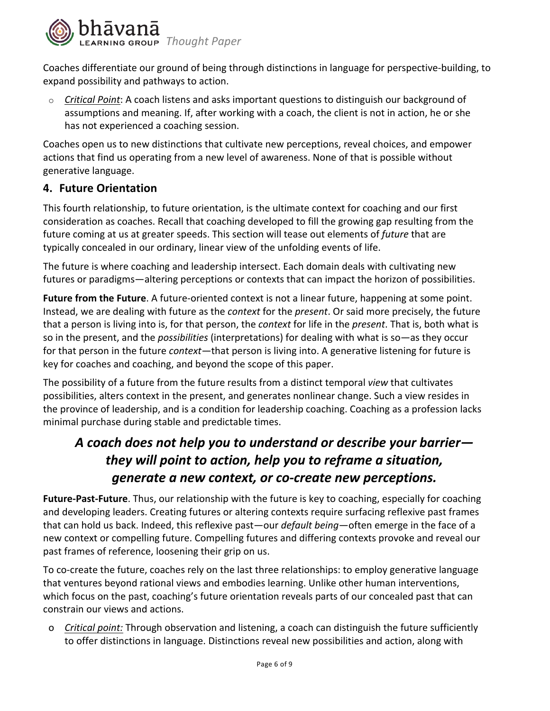

Coaches differentiate our ground of being through distinctions in language for perspective-building, to expand possibility and pathways to action.

o *Critical Point*: A coach listens and asks important questions to distinguish our background of assumptions and meaning. If, after working with a coach, the client is not in action, he or she has not experienced a coaching session.

Coaches open us to new distinctions that cultivate new perceptions, reveal choices, and empower actions that find us operating from a new level of awareness. None of that is possible without generative language.

### **4. Future Orientation**

This fourth relationship, to future orientation, is the ultimate context for coaching and our first consideration as coaches. Recall that coaching developed to fill the growing gap resulting from the future coming at us at greater speeds. This section will tease out elements of *future* that are typically concealed in our ordinary, linear view of the unfolding events of life.

The future is where coaching and leadership intersect. Each domain deals with cultivating new futures or paradigms—altering perceptions or contexts that can impact the horizon of possibilities.

**Future from the Future**. A future-oriented context is not a linear future, happening at some point. Instead, we are dealing with future as the *context* for the *present*. Or said more precisely, the future that a person is living into is, for that person, the *context* for life in the *present*. That is, both what is so in the present, and the *possibilities* (interpretations) for dealing with what is so—as they occur for that person in the future *context—*that person is living into. A generative listening for future is key for coaches and coaching, and beyond the scope of this paper.

The possibility of a future from the future results from a distinct temporal *view* that cultivates possibilities, alters context in the present, and generates nonlinear change. Such a view resides in the province of leadership, and is a condition for leadership coaching. Coaching as a profession lacks minimal purchase during stable and predictable times.

# *A coach does not help you to understand or describe your barrier they will point to action, help you to reframe a situation, generate a new context, or co-create new perceptions.*

**Future-Past-Future**. Thus, our relationship with the future is key to coaching, especially for coaching and developing leaders. Creating futures or altering contexts require surfacing reflexive past frames that can hold us back. Indeed, this reflexive past—our *default being*—often emerge in the face of a new context or compelling future. Compelling futures and differing contexts provoke and reveal our past frames of reference, loosening their grip on us.

To co-create the future, coaches rely on the last three relationships: to employ generative language that ventures beyond rational views and embodies learning. Unlike other human interventions, which focus on the past, coaching's future orientation reveals parts of our concealed past that can constrain our views and actions.

o *Critical point:* Through observation and listening, a coach can distinguish the future sufficiently to offer distinctions in language. Distinctions reveal new possibilities and action, along with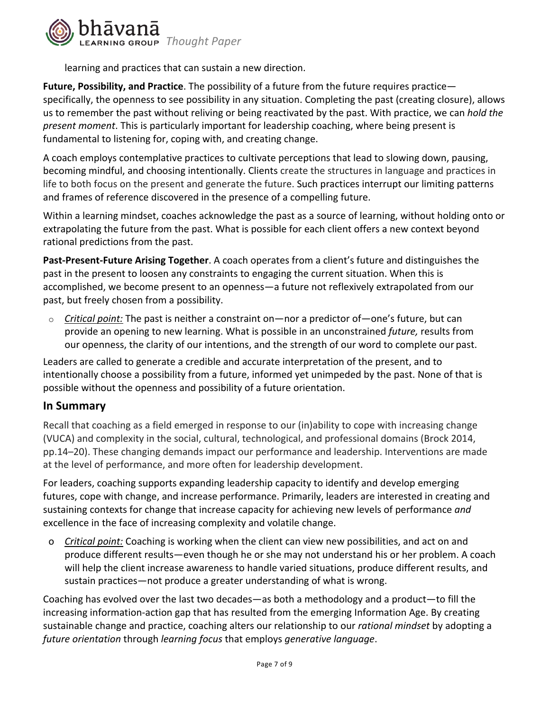

learning and practices that can sustain a new direction.

**Future, Possibility, and Practice**. The possibility of a future from the future requires practice specifically, the openness to see possibility in any situation. Completing the past (creating closure), allows us to remember the past without reliving or being reactivated by the past. With practice, we can *hold the present moment*. This is particularly important for leadership coaching, where being present is fundamental to listening for, coping with, and creating change.

A coach employs contemplative practices to cultivate perceptions that lead to slowing down, pausing, becoming mindful, and choosing intentionally. Clients create the structures in language and practices in life to both focus on the present and generate the future. Such practices interrupt our limiting patterns and frames of reference discovered in the presence of a compelling future.

Within a learning mindset, coaches acknowledge the past as a source of learning, without holding onto or extrapolating the future from the past. What is possible for each client offers a new context beyond rational predictions from the past.

**Past-Present-Future Arising Together**. A coach operates from a client's future and distinguishes the past in the present to loosen any constraints to engaging the current situation. When this is accomplished, we become present to an openness—a future not reflexively extrapolated from our past, but freely chosen from a possibility.

o *Critical point:* The past is neither a constraint on—nor a predictor of—one's future, but can provide an opening to new learning. What is possible in an unconstrained *future,* results from our openness, the clarity of our intentions, and the strength of our word to complete our past.

Leaders are called to generate a credible and accurate interpretation of the present, and to intentionally choose a possibility from a future, informed yet unimpeded by the past. None of that is possible without the openness and possibility of a future orientation.

### **In Summary**

Recall that coaching as a field emerged in response to our (in)ability to cope with increasing change (VUCA) and complexity in the social, cultural, technological, and professional domains (Brock 2014, pp.14–20). These changing demands impact our performance and leadership. Interventions are made at the level of performance, and more often for leadership development.

For leaders, coaching supports expanding leadership capacity to identify and develop emerging futures, cope with change, and increase performance. Primarily, leaders are interested in creating and sustaining contexts for change that increase capacity for achieving new levels of performance *and*  excellence in the face of increasing complexity and volatile change.

o *Critical point:* Coaching is working when the client can view new possibilities, and act on and produce different results—even though he or she may not understand his or her problem. A coach will help the client increase awareness to handle varied situations, produce different results, and sustain practices—not produce a greater understanding of what is wrong.

Coaching has evolved over the last two decades—as both a methodology and a product—to fill the increasing information-action gap that has resulted from the emerging Information Age. By creating sustainable change and practice, coaching alters our relationship to our *rational mindset* by adopting a *future orientation* through *learning focus* that employs *generative language*.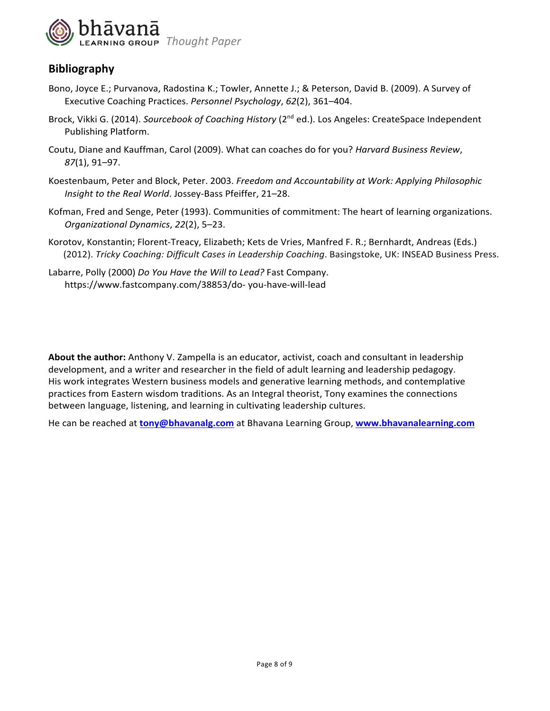

## **Bibliography**

- Bono, Joyce E.; Purvanova, Radostina K.; Towler, Annette J.; & Peterson, David B. (2009). A Survey of Executive Coaching Practices. *Personnel Psychology*, *62*(2), 361–404.
- Brock, Vikki G. (2014). *Sourcebook of Coaching History* (2<sup>nd</sup> ed.). Los Angeles: CreateSpace Independent Publishing Platform.
- Coutu, Diane and Kauffman, Carol (2009). What can coaches do for you? *Harvard Business Review*, *87*(1), 91–97.
- Koestenbaum, Peter and Block, Peter. 2003. *Freedom and Accountability at Work: Applying Philosophic Insight to the Real World*. Jossey-Bass Pfeiffer, 21–28.
- Kofman, Fred and Senge, Peter (1993). Communities of commitment: The heart of learning organizations. *Organizational Dynamics*, *22*(2), 5–23.
- Korotov, Konstantin; Florent-Treacy, Elizabeth; Kets de Vries, Manfred F. R.; Bernhardt, Andreas (Eds.) (2012). *Tricky Coaching: Difficult Cases in Leadership Coaching*. Basingstoke, UK: INSEAD Business Press.
- Labarre, Polly (2000) *Do You Have the Will to Lead?* Fast Company. https://www.fastcompany.com/38853/do- you-have-will-lead

**About the author:** Anthony V. Zampella is an educator, activist, coach and consultant in leadership development, and a writer and researcher in the field of adult learning and leadership pedagogy. His work integrates Western business models and generative learning methods, and contemplative practices from Eastern wisdom traditions. As an Integral theorist, Tony examines the connections between language, listening, and learning in cultivating leadership cultures.

He can be reached at **tony@bhavanalg.com** at Bhavana Learning Group, **www.bhavanalearning.com**